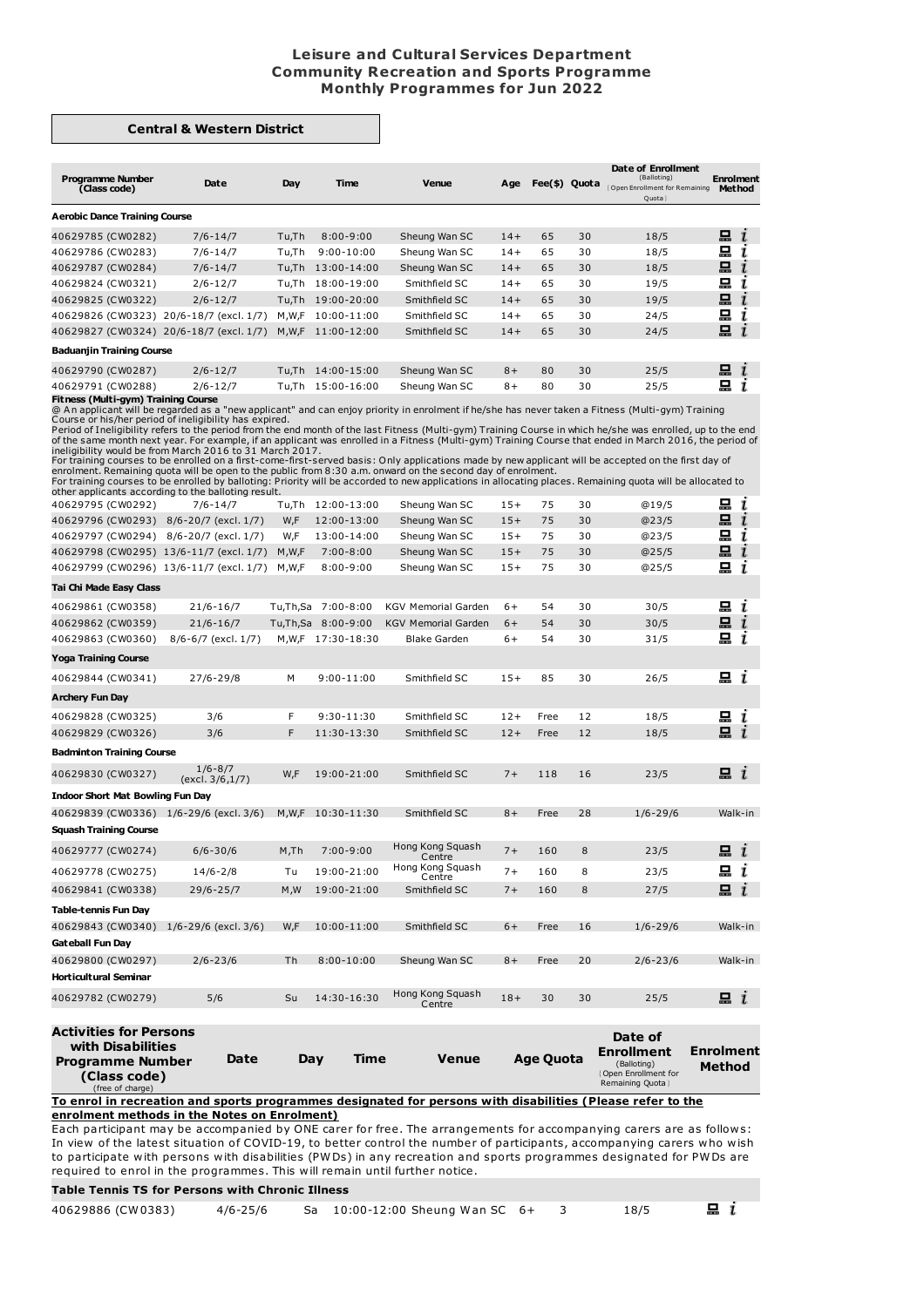## **Leisure and Cultural Services Department Community Recreation and Sports Programme Monthly Programmes for Jun 2022**

## **Central & Western District**

| <b>Programme Number</b><br>(Class code) | Date         | Day   | Time              | <b>Venue</b>  | Age   | Fee(\$) Quota |    | Date of Enrollment<br>(Balloting)<br>Open Enrollment for Remaining<br>Quota | <b>Enrolment</b><br><b>Method</b> |
|-----------------------------------------|--------------|-------|-------------------|---------------|-------|---------------|----|-----------------------------------------------------------------------------|-----------------------------------|
| <b>Aerobic Dance Training Course</b>    |              |       |                   |               |       |               |    |                                                                             |                                   |
| 40629785 (CW0282)                       | $7/6 - 14/7$ | Tu,Th | $8:00 - 9:00$     | Sheung Wan SC | $14+$ | 65            | 30 | 18/5                                                                        | 묘<br>$\mathbf{r}$                 |
| 40629786 (CW0283)                       | $7/6 - 14/7$ | Tu,Th | $9:00 - 10:00$    | Sheung Wan SC | $14+$ | 65            | 30 | 18/5                                                                        | 묘                                 |
| 40629787 (CW0284)                       | $7/6 - 14/7$ | Tu.Th | 13:00-14:00       | Sheung Wan SC | $14+$ | 65            | 30 | 18/5                                                                        | 묘                                 |
| 40629824 (CW0321)                       | $2/6 - 12/7$ | Tu.Th | 18:00-19:00       | Smithfield SC | $14+$ | 65            | 30 | 19/5                                                                        | 묘                                 |
| 40629825 (CW0322)                       | $2/6 - 12/7$ | Tu.Th | 19:00-20:00       | Smithfield SC | $14+$ | 65            | 30 | 19/5                                                                        | 묘                                 |
| 40629826 (CW0323) 20/6-18/7 (excl. 1/7) |              | M,W,F | 10:00-11:00       | Smithfield SC | $14+$ | 65            | 30 | 24/5                                                                        | 묘                                 |
| 40629827 (CW0324) 20/6-18/7 (excl. 1/7) |              | M.W.F | 11:00-12:00       | Smithfield SC | $14+$ | 65            | 30 | 24/5                                                                        | 묘<br>$\mathbf{r}$                 |
| <b>Baduanjin Training Course</b>        |              |       |                   |               |       |               |    |                                                                             |                                   |
| 40629790 (CW0287)                       | $2/6 - 12/7$ |       | Tu,Th 14:00-15:00 | Sheung Wan SC | $8+$  | 80            | 30 | 25/5                                                                        | 묘<br>$\mathbf{I}$                 |
| 40629791 (CW0288)                       | $2/6 - 12/7$ | Tu.Th | 15:00-16:00       | Sheung Wan SC | $8+$  | 80            | 30 | 25/5                                                                        | 묘                                 |
| Fitness (Multi mus) Training Course     |              |       |                   |               |       |               |    |                                                                             |                                   |

**Fitness (Multi-gym) Training Course**<br>© An applicant will be regarded as a "new applicant" and can enjoy priority in enrolment if he/she has never taken a Fitness (Multi-gym) Training<br>© An applicant will be regarded as a "

For training courses to be enrolled on a first-come-first-served basis: Only applications made by new applicant will be accepted on the first day of<br>enrolment. Remaining quota will be open to the public from 8:30 a.m. onwa

| other applicants according to the balloting result. |                                 |           |                     |                            |        |      |    |              |                    |   |
|-----------------------------------------------------|---------------------------------|-----------|---------------------|----------------------------|--------|------|----|--------------|--------------------|---|
| 40629795 (CW0292)                                   | $7/6 - 14/7$                    | Tu,Th     | 12:00-13:00         | Sheung Wan SC              | $15+$  | 75   | 30 | @19/5        | 묘                  | i |
| 40629796 (CW0293) 8/6-20/7 (excl. 1/7)              |                                 | W,F       | 12:00-13:00         | Sheung Wan SC              | $15+$  | 75   | 30 | @23/5        | 묘                  | i |
| 40629797 (CW0294) 8/6-20/7 (excl. 1/7)              |                                 | W,F       | 13:00-14:00         | Sheung Wan SC              | $15+$  | 75   | 30 | @23/5        | 묘                  | ī |
| 40629798 (CW0295) 13/6-11/7 (excl. 1/7)             |                                 | M, W, F   | $7:00-8:00$         | Sheung Wan SC              | $15+$  | 75   | 30 | @25/5        | 昷                  | ı |
| 40629799 (CW0296) 13/6-11/7 (excl. 1/7)             |                                 | M,W,F     | $8:00 - 9:00$       | Sheung Wan SC              | $15+$  | 75   | 30 | @25/5        | 묘                  | ι |
| Tai Chi Made Easy Class                             |                                 |           |                     |                            |        |      |    |              |                    |   |
| 40629861 (CW0358)                                   | $21/6 - 16/7$                   |           | Tu,Th,Sa 7:00-8:00  | <b>KGV Memorial Garden</b> | 6+     | 54   | 30 | 30/5         | 묘                  | ı |
| 40629862 (CW0359)                                   | $21/6 - 16/7$                   |           | Tu,Th,Sa 8:00-9:00  | <b>KGV Memorial Garden</b> | $6+$   | 54   | 30 | 30/5         | $\mathbf{a}$ i     |   |
| 40629863 (CW0360)                                   | 8/6-6/7 (excl. 1/7)             |           | M, W, F 17:30-18:30 | <b>Blake Garden</b>        | $6+$   | 54   | 30 | 31/5         | 묘                  | ı |
| <b>Yoga Training Course</b>                         |                                 |           |                     |                            |        |      |    |              |                    |   |
| 40629844 (CW0341)                                   | $27/6 - 29/8$                   | M         | $9:00 - 11:00$      | Smithfield SC              | $15+$  | 85   | 30 | 26/5         | шi                 |   |
| <b>Archery Fun Day</b>                              |                                 |           |                     |                            |        |      |    |              |                    |   |
| 40629828 (CW0325)                                   | 3/6                             | F         | 9:30-11:30          | Smithfield SC              | $12+$  | Free | 12 | 18/5         | 묘 i                |   |
| 40629829 (CW0326)                                   | 3/6                             | F         | 11:30-13:30         | Smithfield SC              | $12 +$ | Free | 12 | 18/5         | $\blacksquare$ $i$ |   |
| <b>Badminton Training Course</b>                    |                                 |           |                     |                            |        |      |    |              |                    |   |
| 40629830 (CW0327)                                   | $1/6 - 8/7$<br>(excl. 3/6, 1/7) | W,F       | 19:00-21:00         | Smithfield SC              | $7+$   | 118  | 16 | 23/5         | 묘 $i$              |   |
| <b>Indoor Short Mat Bowling Fun Day</b>             |                                 |           |                     |                            |        |      |    |              |                    |   |
| 40629839 (CW0336) 1/6-29/6 (excl. 3/6)              |                                 |           | M, W, F 10:30-11:30 | Smithfield SC              | $8+$   | Free | 28 | $1/6 - 29/6$ | Walk-in            |   |
| <b>Squash Training Course</b>                       |                                 |           |                     |                            |        |      |    |              |                    |   |
| 40629777 (CW0274)                                   | $6/6 - 30/6$                    | $M$ , Th  | $7:00-9:00$         | Hong Kong Squash<br>Centre | $7+$   | 160  | 8  | 23/5         | $\Xi$ i            |   |
| 40629778 (CW0275)                                   | $14/6 - 2/8$                    | Tu        | 19:00-21:00         | Hong Kong Squash<br>Centre | $7+$   | 160  | 8  | 23/5         | 묘 i                |   |
| 40629841 (CW0338)                                   | $29/6 - 25/7$                   | M, W      | 19:00-21:00         | Smithfield SC              | $7+$   | 160  | 8  | 27/5         | $\Xi$ i            |   |
| Table-tennis Fun Day                                |                                 |           |                     |                            |        |      |    |              |                    |   |
| 40629843 (CW0340)                                   | $1/6 - 29/6$ (excl. 3/6)        | W,F       | 10:00-11:00         | Smithfield SC              | $6+$   | Free | 16 | $1/6 - 29/6$ | Walk-in            |   |
| <b>Gateball Fun Day</b>                             |                                 |           |                     |                            |        |      |    |              |                    |   |
| 40629800 (CW0297)                                   | $2/6 - 23/6$                    | <b>Th</b> | $8:00 - 10:00$      | Sheung Wan SC              | $8+$   | Free | 20 | $2/6 - 23/6$ | Walk-in            |   |
| Horticultural Seminar                               |                                 |           |                     |                            |        |      |    |              |                    |   |
| 40629782 (CW0279)                                   | 5/6                             | Su        | 14:30-16:30         | Hong Kong Squash<br>Centre | $18+$  | 30   | 30 | 25/5         | $\mathbf{a}$ i     |   |
|                                                     |                                 |           |                     |                            |        |      |    |              |                    |   |

| <b>Activities for Persons</b><br>with Disabilities<br>Date<br><b>Programme Number</b><br>(Class code)<br>(free of charge) | Time<br>Dav | Venue | <b>Age Quota</b> | Date of<br>Enrolment<br><b>Enrollment</b><br>(Balloting)<br><b>Method</b><br><b>Open Enrollment for</b><br>Remaining Quota |  |
|---------------------------------------------------------------------------------------------------------------------------|-------------|-------|------------------|----------------------------------------------------------------------------------------------------------------------------|--|
|---------------------------------------------------------------------------------------------------------------------------|-------------|-------|------------------|----------------------------------------------------------------------------------------------------------------------------|--|

**To enrol in recreation and sports programmes designated for persons with disabilities (Please refer to the enrolment methods in the Notes on Enrolment)**

Each participant may be accompanied by ONE carer for free. The arrangements for accompanying carers are as follows: In view of the latest situation of COVID-19, to better control the number of participants, accompanying carers who wish to participate with persons with disabilities (PWDs) in any recreation and sports programmes designated for PWDs are required to enrol in the programmes. This will remain until further notice.

## **Table Tennis TS for Persons with Chronic Illness**

40629886 (CW0383) 4/6-25/6 Sa 10:00-12:00 Sheung Wan SC 6+ 3 18/5

 $i$